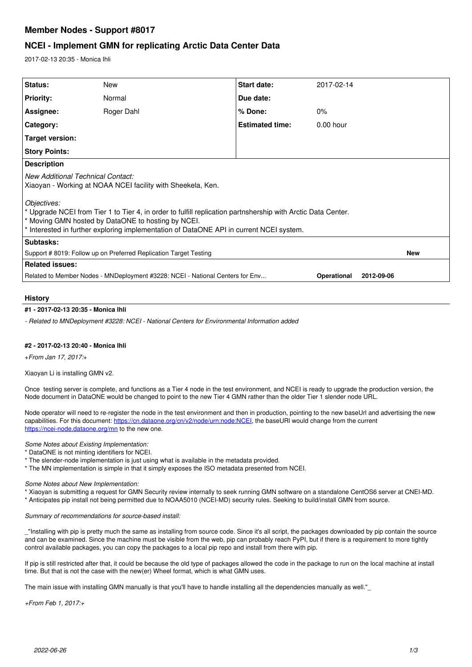# **Member Nodes - Support #8017**

# **NCEI - Implement GMN for replicating Arctic Data Center Data**

2017-02-13 20:35 - Monica Ihli

| Status:                                                                                                                                                                                                                                                                      | <b>New</b> | <b>Start date:</b>     | 2017-02-14  |            |            |
|------------------------------------------------------------------------------------------------------------------------------------------------------------------------------------------------------------------------------------------------------------------------------|------------|------------------------|-------------|------------|------------|
| <b>Priority:</b>                                                                                                                                                                                                                                                             | Normal     | Due date:              |             |            |            |
| Assignee:                                                                                                                                                                                                                                                                    | Roger Dahl | % Done:                | 0%          |            |            |
| Category:                                                                                                                                                                                                                                                                    |            | <b>Estimated time:</b> | $0.00$ hour |            |            |
| Target version:                                                                                                                                                                                                                                                              |            |                        |             |            |            |
| <b>Story Points:</b>                                                                                                                                                                                                                                                         |            |                        |             |            |            |
| <b>Description</b>                                                                                                                                                                                                                                                           |            |                        |             |            |            |
| <b>New Additional Technical Contact:</b><br>Xiaoyan - Working at NOAA NCEI facility with Sheekela, Ken.                                                                                                                                                                      |            |                        |             |            |            |
| Objectives:<br>* Upgrade NCEI from Tier 1 to Tier 4, in order to fulfill replication partnshership with Arctic Data Center.<br>* Moving GMN hosted by DataONE to hosting by NCEI.<br>* Interested in further exploring implementation of DataONE API in current NCEI system. |            |                        |             |            |            |
| Subtasks:                                                                                                                                                                                                                                                                    |            |                        |             |            |            |
| Support # 8019: Follow up on Preferred Replication Target Testing                                                                                                                                                                                                            |            |                        |             |            | <b>New</b> |
| <b>Related issues:</b>                                                                                                                                                                                                                                                       |            |                        |             |            |            |
| Related to Member Nodes - MNDeployment #3228: NCEI - National Centers for Env                                                                                                                                                                                                |            |                        | Operational | 2012-09-06 |            |
|                                                                                                                                                                                                                                                                              |            |                        |             |            |            |

# **History**

# **#1 - 2017-02-13 20:35 - Monica Ihli**

*- Related to MNDeployment #3228: NCEI - National Centers for Environmental Information added*

# **#2 - 2017-02-13 20:40 - Monica Ihli**

+*From Jan 17, 2017:*+

#### Xiaoyan Li is installing GMN v2.

Once testing server is complete, and functions as a Tier 4 node in the test environment, and NCEI is ready to upgrade the production version, the Node document in DataONE would be changed to point to the new Tier 4 GMN rather than the older Tier 1 slender node URL.

Node operator will need to re-register the node in the test environment and then in production, pointing to the new baseUrl and advertising the new capabilities. For this document: [https://cn.dataone.org/cn/v2/node/urn:node:NCEI,](https://cn.dataone.org/cn/v2/node/urn:node:NCEI) the baseURI would change from the current <https://ncei-node.dataone.org/mn>to the new one.

*Some Notes about Existing Implementation:*

- \* DataONE is not minting identifiers for NCEI.
- \* The slender-node implementation is just using what is available in the metadata provided.
- \* The MN implementation is simple in that it simply exposes the ISO metadata presented from NCEI.

#### *Some Notes about New Implementation:*

\* Xiaoyan is submitting a request for GMN Security review internally to seek running GMN software on a standalone CentOS6 server at CNEI-MD. \* Anticipates pip install not being permitted due to NOAA5010 (NCEI-MD) security rules. Seeking to build/install GMN from source.

# *Summary of recommendations for source-based install:*

\_"Installing with pip is pretty much the same as installing from source code. Since it's all script, the packages downloaded by pip contain the source and can be examined. Since the machine must be visible from the web, pip can probably reach PyPI, but if there is a requirement to more tightly control available packages, you can copy the packages to a local pip repo and install from there with pip.

If pip is still restricted after that, it could be because the old type of packages allowed the code in the package to run on the local machine at install time. But that is not the case with the new(er) Wheel format, which is what GMN uses.

The main issue with installing GMN manually is that you'll have to handle installing all the dependencies manually as well."

*+From Feb 1, 2017:+*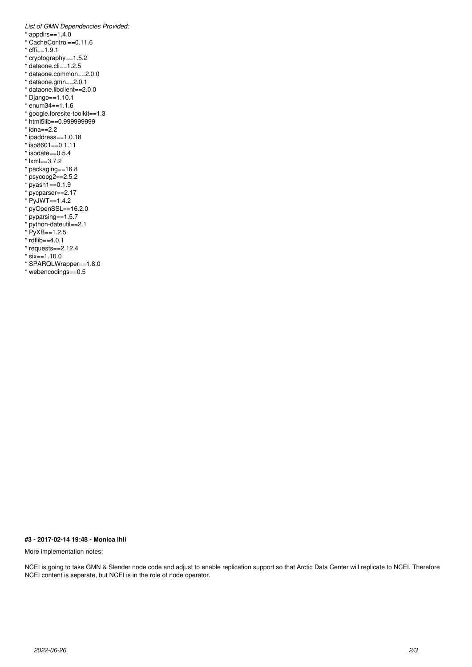*List of GMN Dependencies Provided:*

- $*$  appdirs==1.4.0
- \* CacheControl==0.11.6
- $*$  cffi==1.9.1
- \* cryptography==1.5.2
- $*$  dataone.cli==1.2.5
- \* dataone.common==2.0.0
- \* dataone.gmn==2.0.1
- \* dataone.libclient==2.0.0
- \* Django==1.10.1
- $*$  enum34==1.1.6
- \* google.foresite-toolkit==1.3
- \* html5lib==0.999999999
- $*$  idna==2.2
- \* ipaddress==1.0.18
- $*$  iso8601==0.1.11
- $*$  isodate==0.5.4
- \* lxml==3.7.2
- \* packaging==16.8
- $*$  psycopg2==2.5.2
- $*$  pyasn1==0.1.9
- \* pycparser==2.17
- \* PyJWT==1.4.2
- pyOpenSSL==16.2.0
- pyparsing==1.5.7
- python-dateutil==2.1
- \* PyXB==1.2.5
- $*$  rdflib==4.0.1
- $*$  requests==2.12.4
- \*  $six = 1.10.0$
- 
- \* SPARQLWrapper==1.8.0 \* webencodings==0.5

# **#3 - 2017-02-14 19:48 - Monica Ihli**

# More implementation notes:

NCEI is going to take GMN & Slender node code and adjust to enable replication support so that Arctic Data Center will replicate to NCEI. Therefore NCEI content is separate, but NCEI is in the role of node operator.